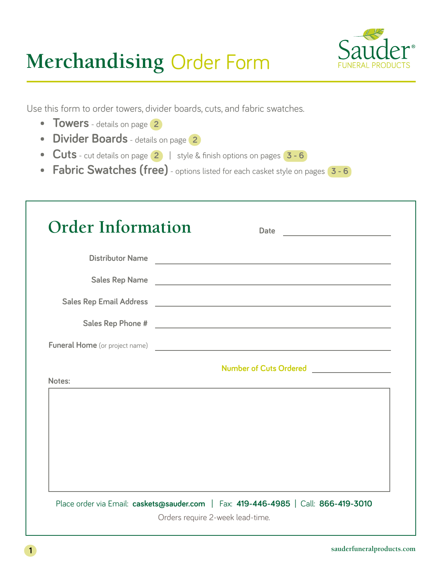# **Merchandising** Order Form



Use this form to order towers, divider boards, cuts, and fabric swatches.

- **• Towers** details on page **<sup>2</sup>**
- **• Divider Boards** details on page **<sup>2</sup>**
- **• Cuts** cut details on page **2** | style & finish options on pages **3 6**
- **• Fabric Swatches (free)** options listed for each casket style on pages **3 6**

|        | Distributor Name                                                                                                                           |
|--------|--------------------------------------------------------------------------------------------------------------------------------------------|
|        |                                                                                                                                            |
|        |                                                                                                                                            |
|        |                                                                                                                                            |
|        | <b>Funeral Home</b> (or project name)                                                                                                      |
| Notes: | Number of Cuts Ordered<br>and the control of the control of the control of the control of the control of the control of the control of the |
|        |                                                                                                                                            |
|        |                                                                                                                                            |
|        |                                                                                                                                            |
|        |                                                                                                                                            |
|        |                                                                                                                                            |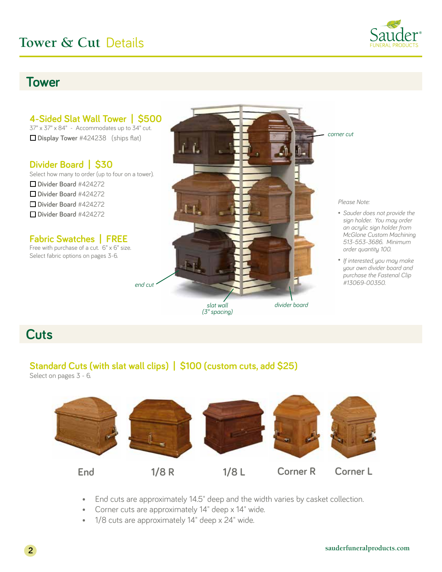

## **Tower**



## **Cuts**

### **Standard Cuts (with slat wall clips) | \$100 (custom cuts, add \$25)**

Select on pages 3 - 6.



- End cuts are approximately 14.5" deep and the width varies by casket collection.
- Corner cuts are approximately 14" deep x 14" wide.
- 1/8 cuts are approximately 14" deep x 24" wide.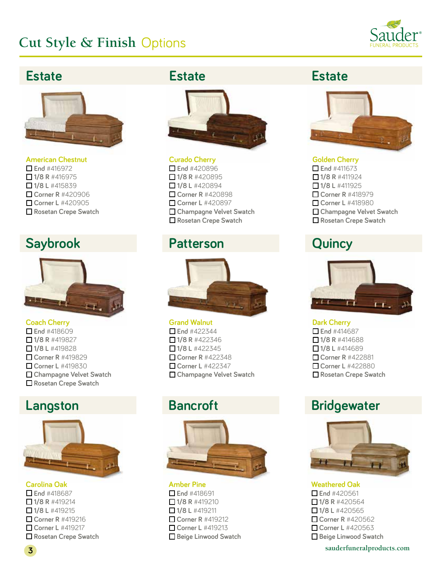

## **Estate**



**American Chestnut**  $\Box$  End #416972  $\Box$  1/8 R #416975 o **1/8 L** #415839 o **Corner R** #420906 o **Corner L** #420905 o **Rosetan Crepe Swatch**

## **Saybrook Patterson Quincy**



### **Coach Cherry**

o **End** #418609 o **1/8 R** #419827 o **1/8 L** #419828 o **Corner R** #419829 o **Corner L** #419830 □ Champagne Velvet Swatch o **Rosetan Crepe Swatch**

## **Langston Bancroft**



**Carolina Oak** ■ End #418687  $\Box$  1/8 R #419214 o **1/8 L** #419215 o **Corner R** #419216 ■ **Corner L** #419217 o **Rosetan Crepe Swatch**

## **Estate Estate**



**Curado Cherry**  o **End** #420896  $\Box$  1/8 R #420895 o **1/8 L** #420894 o **Corner R** #420898 ■ Corner L #420897 o **Champagne Velvet Swatch** o **Rosetan Crepe Swatch**



### **Grand Walnut**

 $\Box$  End #422344  $\Box$  1/8 R #422346 **□ 1/8 L** #422345 o **Corner R** #422348 o **Corner L** #422347 □ Champagne Velvet Swatch



#### **Amber Pine** o **End** #418691 o **1/8 R** #419210 o **1/8 L** #419211 ■ **Corner R** #419212 ■ Corner L #419213 **O** Beige Linwood Swatch



#### **Golden Cherry**   $\Box$  End #411673 o **1/8 R** #411924 o **1/8 L** #411925 o **Corner R** #418979 o **Corner L** #418980 □ Champagne Velvet Swatch o **Rosetan Crepe Swatch**



**Dark Cherry** ■ End #414687  $\Box$  1/8 R #414688 o **1/8 L** #414689 ■ Corner R #422881 o **Corner L** #422880 o **Rosetan Crepe Swatch**

## **Bridgewater**



**Weathered Oak** o **End** #420561  $\Box$  1/8 R #420564 o **1/8 L** #420565 ■ Corner R #420562 **Corner L** #420563 **O** Beige Linwood Swatch

**sauderfuneralproducts.com 3**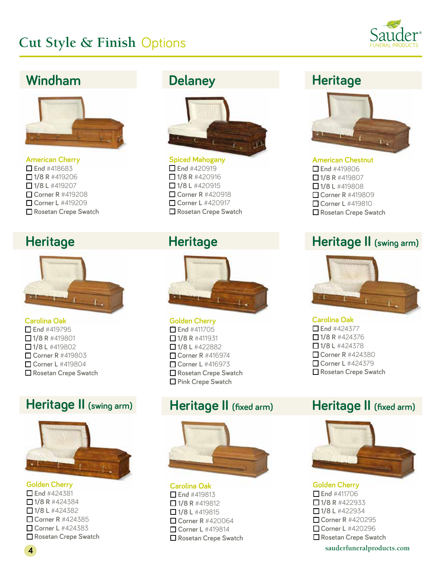

## **Windham Delaney Heritage**



**American Cherry** o **End** #418683 o **1/8 R** #419206 o **1/8 L** #419207 o **Corner R** #419208 o **Corner L** #419209 o **Rosetan Crepe Swatch**



### **Carolina Oak**

o **End** #419795  $\Box$  1/8 R #419801 o **1/8 L** #419802 o **Corner R** #419803 o **Corner L** #419804 o **Rosetan Crepe Swatch**

## **Heritage II** (swing arm) **Heritage II** (fixed arm)



#### **Golden Cherry**

o **End** #424381  $\Box$  1/8 R #424384 o **1/8 L** #424382 o **Corner R** #424385 **Corner L** #424383 o **Rosetan Crepe Swatch**



**Spiced Mahogany**   $\Box$  End #420919  $\Box$  1/8 R #420916 o **1/8 L** #420915 o **Corner R** #420918 o **Corner L** #420917 ■ Rosetan Crepe Swatch

## **Heritage**



### **Golden Cherry**

o **End** #411705  $\Box$  1/8 R #411931 o **1/8 L** #422882 o **Corner R** #416974 **Corner L** #416973 o **Rosetan Crepe Swatch** o **Pink Crepe Swatch**



#### **Carolina Oak**

 $\Box$  End #419813  $\Box$  1/8 R #419812 ■**1/8 L** #419815 o **Corner R** #420064 ■ Corner L #419814 o **Rosetan Crepe Swatch**



### **American Chestnut**

o **End** #419806 o **1/8 R** #419807 o **1/8 L** #419808 o **Corner R** #419809 o **Corner L** #419810 o **Rosetan Crepe Swatch**

## **Heritage Construction Heritage Construction Heritage II (swing arm)**



#### **Carolina Oak**

■ End #424377 o **1/8 R** #424376 **□ 1/8 L** #424378 o **Corner R** #424380 **Corner L** #424379 **□ Rosetan Crepe Swatch** 

## **Heritage II (fixed arm)**



#### **Golden Cherry** o **End** #411706

 $\Box$  1/8 R #422933 o **1/8 L** #422934 **Corner R** #420295 o **Corner L** #420296 o **Rosetan Crepe Swatch**

**sauderfuneralproducts.com 4**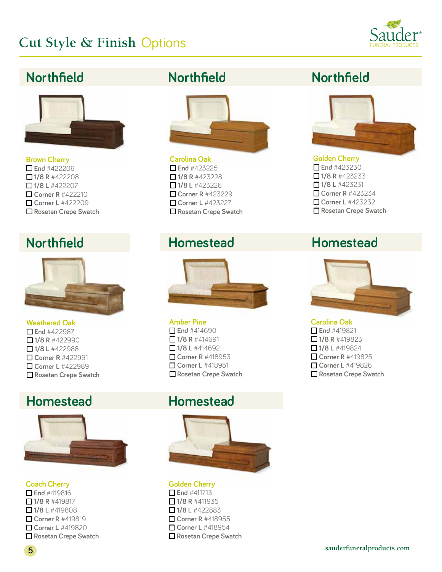

## **Northfield**



**Brown Cherry** o **End** #422206  $\Box$  1/8 R #422208 o **1/8 L** #422207 o **Corner R** #422210 o **Corner L** #422209 o **Rosetan Crepe Swatch**



### **Weathered Oak**

■End #422987  $\Box$  1/8 R #422990 o **1/8 L** #422988 ■ Corner R #422991 o **Corner L** #422989 o **Rosetan Crepe Swatch**

## **Homestead**



**Coach Cherry** o **End** #419816 o **1/8 R** #419817 o **1/8 L** #419808  $\Box$  **Corner R** #419819 o **Corner L** #419820 o **Rosetan Crepe Swatch**



**Carolina Oak**  $\Box$  End #423225  $\Box$  1/8 R #423228 o **1/8 L** #423226 o **Corner R** #423229 o **Corner L** #423227 o **Rosetan Crepe Swatch**

## **Northfield Homestead**



### **Amber Pine**

o **End** #414690  $\Box$  1/8 R #414691  $\Box$  1/8 L #414692 **Corner R #418953** o **Corner L** #418951 o **Rosetan Crepe Swatch**

## **Homestead**



**Golden Cherry** o **End** #411713  $\Box$  1/8 R #411935  $\Box$  1/8 L #422883 o **Corner R** #418955 o **Corner L** #418954 o **Rosetan Crepe Swatch**

## **Northfield Northfield**



### **Golden Cherry** o **End** #423230  $\Box$  1/8 R #423233 o **1/8 L** #423231 o **Corner R** #423234 o **Corner L** #423232 o **Rosetan Crepe Swatch**

## **Homestead**



### **Carolina Oak**

o **End** #419821  $\Box$  1/8 R #419823 o **1/8 L** #419824 o **Corner R** #419825 o **Corner L** #419826 o **Rosetan Crepe Swatch**